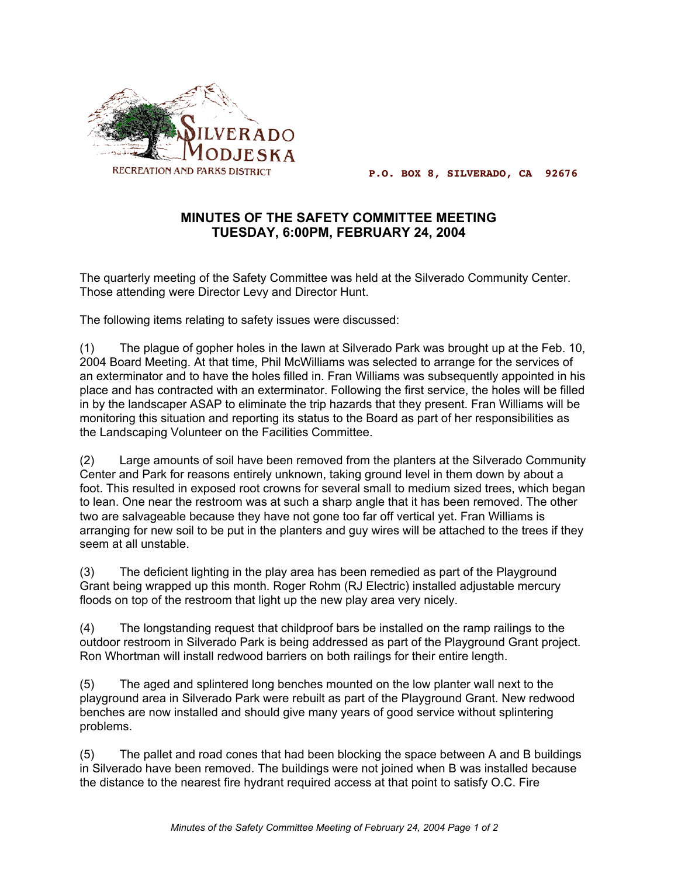

 **P.O. BOX 8, SILVERADO, CA 92676**

## **MINUTES OF THE SAFETY COMMITTEE MEETING TUESDAY, 6:00PM, FEBRUARY 24, 2004**

The quarterly meeting of the Safety Committee was held at the Silverado Community Center. Those attending were Director Levy and Director Hunt.

The following items relating to safety issues were discussed:

(1) The plague of gopher holes in the lawn at Silverado Park was brought up at the Feb. 10, 2004 Board Meeting. At that time, Phil McWilliams was selected to arrange for the services of an exterminator and to have the holes filled in. Fran Williams was subsequently appointed in his place and has contracted with an exterminator. Following the first service, the holes will be filled in by the landscaper ASAP to eliminate the trip hazards that they present. Fran Williams will be monitoring this situation and reporting its status to the Board as part of her responsibilities as the Landscaping Volunteer on the Facilities Committee.

(2) Large amounts of soil have been removed from the planters at the Silverado Community Center and Park for reasons entirely unknown, taking ground level in them down by about a foot. This resulted in exposed root crowns for several small to medium sized trees, which began to lean. One near the restroom was at such a sharp angle that it has been removed. The other two are salvageable because they have not gone too far off vertical yet. Fran Williams is arranging for new soil to be put in the planters and guy wires will be attached to the trees if they seem at all unstable.

(3) The deficient lighting in the play area has been remedied as part of the Playground Grant being wrapped up this month. Roger Rohm (RJ Electric) installed adjustable mercury floods on top of the restroom that light up the new play area very nicely.

(4) The longstanding request that childproof bars be installed on the ramp railings to the outdoor restroom in Silverado Park is being addressed as part of the Playground Grant project. Ron Whortman will install redwood barriers on both railings for their entire length.

(5) The aged and splintered long benches mounted on the low planter wall next to the playground area in Silverado Park were rebuilt as part of the Playground Grant. New redwood benches are now installed and should give many years of good service without splintering problems.

(5) The pallet and road cones that had been blocking the space between A and B buildings in Silverado have been removed. The buildings were not joined when B was installed because the distance to the nearest fire hydrant required access at that point to satisfy O.C. Fire